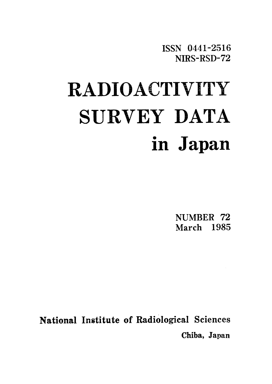ISSN 0441-2516 NIRS-RSD-72

# **RADIOACTIVITY** SURVEY DATA in Japan

NUMBER 72 March 1985

National Institute of Radiological Sciences Chiba, Japan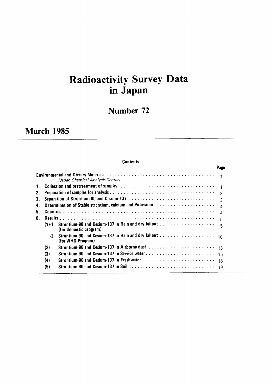# Radioactivity Survey Data in Japan

## Number 72

# March 1985

### **Contents**

|    |           |                                              | Page |
|----|-----------|----------------------------------------------|------|
|    |           | (Japan Chemical Analysis Center)             |      |
| 1. |           |                                              |      |
| 2. |           |                                              | 3    |
| З. |           |                                              | 3    |
| 4. |           |                                              |      |
| 5. |           |                                              | 4    |
| 6. |           |                                              | 5    |
|    | $(1) - 1$ | (for domestic program)                       | 5    |
|    | $-2$      | (for WHO Program)                            |      |
|    | (2)       |                                              |      |
|    | (3)       | Strontium-90 and Cesium-137 in Service water | 15   |
|    | (4)       | Strontium-90 and Cesium-137 in Freshwater    | 18   |
|    | (5)       |                                              | 19   |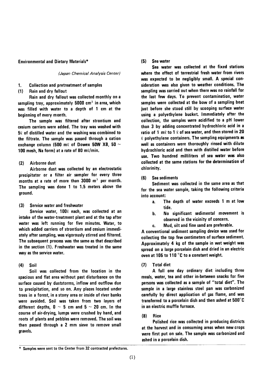#### **Environmental and Dietary Materials\***

#### (Japan Chemical Analysis Center)

#### 1. **Collection and pretreatment of samples**

Rain and dry fallout  $(1)$ 

Rain and dry fallout was collected monthly on a sampling tray, approximately 5000 cm<sup>2</sup> in area, which was filled with water to a depth of 1 cm at the beginning of every month.

The sample was filtered after strontium and cesium carriers were added. The tray was washed with  $50$  of distilled water and the washing was combined to the filtrate. The sample was passed through a cation exchange column (500 m $\ell$  of Dowex 50W X8, 50  $\sim$ 100 mesh, Na form) at a rate of 80 ml/min.

#### Airborne dust  $(2)$

Airborne dust was collected by an electrostatic precipitator or a filter air sampler for every three months at a rate of more than  $3000 \, \text{m}^3$  per month. The sampling was done 1 to 1.5 meters above the ground.

Service water and freshwater  $(3)$ 

Service water, 1000 each, was collected at an intake of the water-treatment plant and at the tap after water was left running for five minutes. Water, to which added carriers of strontium and cesium immediately after sampling, was vigorously stirred and filtered. The subsequent process was the same as that described in the section (1). Freshwater was treated in the same way as the service water.

#### $(4)$ Soil

Soil was collected from the location in the spacious and flat area without past disturbance on the surface caused by duststorms, inflow and outflow due to precipitation, and so on. Any places located under trees in a forest, in a stony area or inside of river banks were avoided. Soil was taken from two layers of different depths,  $0 \sim 5$  cm and  $5 \sim 20$  cm. In the course of air-drying, lumps were crushed by hand, and roots of plants and pebbles were removed. The soil was then passed through a 2 mm sieve to remove small gravels.

#### $(5)$ Sea water

Sea water was collected at the fixed stations where the effect of terrestrial fresh water from rivers was expected to be negligibly small. A special consideration was also given to weather conditions. The sampling was carried out when there was no rainfall for the last few days. To prevent contamination, water samples were collected at the bow of a sampling boat just before she stood still by scooping surface water using a polyethylene bucket. Immediately after the collection, the samples were acidified to a pH lower than 3 by adding concentrated hydrochloric acid in a ratio of 1 m $\ell$  to 1  $\ell$  of sea water, and then stored in 20  $\ell$  polyethylene containers. The sampling equipments as well as containers were thoroughly rinsed with dilute hydrochloric acid and then with distilled water before use. Two hundred milliliters of sea water was also collected at the same stations for the determination of chlorinity.

#### $(6)$ Sea sediments

Sediment was collected in the same area as that for the sea water sample, taking the following criteria into account:

- a. The depth of water exceeds 1 m at low tide.
- No significant sedimental movement is b. observed in the vicinity of concern.
- c. Mud, silt and fine sand are preferable.

A conventional sediment sampling device was used for collecting the top few centimeters of surface sediment. Approximately 4 kg of the sample in wet weight was spread on a large porcelain dish and dried in an electric oven at 105 to 110 °C to a constant weight.

#### $(7)$ **Total diet**

A full one day ordinary diet including three meals, water, tea and other in-between snacks for five persons was collected as a sample of "total diet". The sample in a large stainless steel pan was carbonized carefully by direct application of gas flame, and was transferred to a porcelain dish and then ashed at 500°C in an electric muffle furnace.

#### $(8)$ Rice

Polished rice was collected in producing districts at the harvest and in consuming areas when new crops were first put on sale. The sample was carbonized and ashed in a porcelain dish.

<sup>\*</sup> Samples were sent to the Center from 32 contracted prefectures.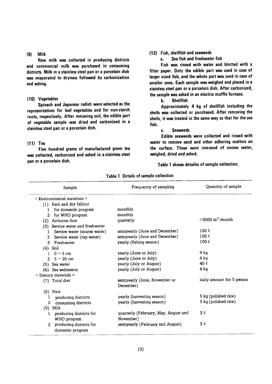#### $(9)$  Milk

Raw milk was collected in producing districts and commercial milk was purchased in consuming districts. Milk in a stainless steel pan or a porcelain dish was evaporated to dryness followed by carbonization and ashing.

#### (10) Vegetables

Spinach and Japanese radish were selected as the representatives for leaf vegetables and for non-starch roots, respectively. After removing soil, the edible part of vegetable sample was dried and carbonized in a stainless steel pan or a porcelain dish.

#### $(11)$  Tea

Five hundred grams of manufactured green tea was collected, carbonized and ashed in a stainless steel pan or a porcelain dish.

## (12) Fish, shellfish and seaweeds

Sea fish and freshwater fish  $\mathbf{a}$ 

Fish was rinsed with water and blotted with a filter paper. Only the edible part was used in case of larger sized fish, and the whole part was used in case of smaller ones. Each sample was weighed and placed in a stainless steel pan or a porcelain dish. After carbonized, the sample was ashed in an electric muffle furnace.

**Shellfish b.** 

Approximately 4 kg of shellfish including the shells was collected or purchased. After removing the shells, it was treated in the same way as that for the sea fish.

#### **Seaweeds** C.

Edible seaweeds were collected and rinsed with water to remove sand and other adhering matters on the surface. These were removed of excess water, weighed, dried and ashed.

Table 1 shows detailes of sample collection.

| Sample                                    | Frequency of sampling                | Quantity of sample         |
|-------------------------------------------|--------------------------------------|----------------------------|
| $=$ Environmental materials $=$           |                                      |                            |
| (1) Rain and dry fallout                  |                                      |                            |
| for domestic program<br>L                 | monthly                              |                            |
| for WHO program<br>2                      | monthly                              |                            |
| Airborne dust<br>(2)                      | quarterly                            | $>3000 \text{ m}^3$ /month |
| (3) Service water and freshwater          |                                      |                            |
| Service water (sourse water)<br>1         | semiyearly (June and December)       | $100 \ell$                 |
| Service water (tap water)<br>$\mathbf{2}$ | semiyearly (June and December)       | $100 \ell$                 |
| 3<br>Freshwater                           | yearly (fishing season)              | 100 <sub>k</sub>           |
| $(4)$ Soil                                |                                      |                            |
| $0 \sim 5$ cm<br>$\mathbf{1}$             | yearly (June or July)                | 4 ka                       |
| $5$ $\sim$ 20 cm<br>$\overline{2}$        | yearly (June or July)                | 4 kg                       |
| (5) Sea water                             | yearly (July or August)              | 40 l                       |
| (6) Sea sediments                         | yearly (July or August)              | 4 ka                       |
| $=$ Dietary materials $=$                 |                                      |                            |
| (7) Total diet                            | semiyearly (June, November or        | daily amount for 5 person  |
|                                           | December)                            |                            |
| $(8)$ Rice                                |                                      |                            |
| producing districts<br>1                  | yearly (harvesting season)           | 5 kg (polished rice)       |
| $\mathbf{2}$<br>consuming districts       | yearly (harvesting season)           | 5 kg (polished rice)       |
| Milk<br>(9)                               |                                      |                            |
| producing districts for<br>ı              | quarterly (February, May, August and | 32                         |
| WHO program                               | November)                            |                            |
| producing districts for<br>2              | semiyearly (February and August)     | 32                         |
| domestic program                          |                                      |                            |

Table 1 Details of sample collection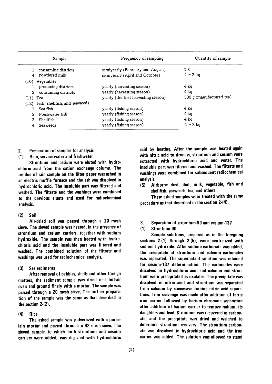|            | Sample                             | Frequency of sampling                | Quantity of sample         |
|------------|------------------------------------|--------------------------------------|----------------------------|
| 3.         | consuming districts                | semiyearly (February and August)     | 3 l                        |
|            | powdered milk                      | semiyearly (April and October)       | $2 \sim 3$ kg              |
|            | (10) Vegetables                    |                                      |                            |
|            | producing districts                | yearly (harvesting season)           | 4 kg                       |
| 2.         | consuming districts                | yearly (harvesting season)           | 4 ka                       |
| $(11)$ Tea |                                    | yearly (the first harvesting season) | $500$ q (manufactured tea) |
|            | (12) Fish, shellfish, and seaweeds |                                      |                            |
|            | Sea fish                           | yearly (fishing season)              | 4 ka                       |
|            | Freshwater fish                    | yearly (fishing season)              | 4 ka                       |
| 3.         | Shellfish                          | yearly (fishing season)              | 4 kg                       |
| 4          | Seaweeds                           | yearly (fishing season)              | $2 \sim 3$ kg              |

- 2. Preparation of samples for analysis
- (1) Rain, service water and freshwater

Strontium and cesium were eluted with hydro・ chloric acid from the cation exchange column.The residue of rain sample on the filter paper was ashed in an electric muffle furnace and the ash was dissolved in hydrochloric acid. The insoluble part was filtered and washed. The filtrate and the washings were combined to the previous eluate and used for radiochemical analysis.

 $(2)$  Soil

Air-dried soil was passed through a 20 mesh sieve. The sieved sample was heated, in the presence of strontium and cesium carriers, together with sodium hydroxide. The sample was then heated with hydrochloric acid and the insoluble part was filtered and washed. The combined solution of the filtrate and washings was used for radiochemical analysis.

(3) Sea sediments

After removal of pebbles, shells and other foreign matters, the sediment sample was dried in a hot-air oven and ground finely with a mortar. The sample was passed through a 20 mesh sieve. The further preparation of the sample was the same as that described in the section 2-(2).

 $(4)$ Rice

The ashed sample was pulverlized with a porcelain mortar and passed through a 42 mesh sieve. The sieved sample to which both strontium and cesium carriers were added, was digested with hydrochloric acid by heating. After the sample was heated again with nitric acid to dryness, strontium and cesium were extracted with hydrochloric acid and water. The insoluble part was filtered and washed. The filtrate and washings were combined for subsequent radiochemical analysis.

(5) Airborne dust, diet, milk, vegetable, fish and shellfish, seaweeds, tea, and others

These ashed samples were treated with the same procedure as that described in the section 2-(4).

3. Separation of strontium-90 and cesium-137

## (1) Strontium-90

Sample solutions, prepared as in the foregoing sections  $2-(1)$  through  $2-(5)$ , were neutralized with sodium hydroxide. After sodium carbonate was added. the precipitate of strontium and calcium carbonates was separated. The supernatant solution was retained for cesium-137 determination. The carbonates were dissolved in hydrochloric acid and calcium and strontium were precipitated as oxalates. The precipitate was dissolved in nitric acid and strontium was separated from calcium by successive fuming nitric acid separations. Iron scavenge was made after addition of ferric iron carrier followed by barium chromate separation after addition of barium carrier to remove radium, its daughters and lead. Strontium was recovered as carbonate, and the precipitate was dried and weighed to determine strontium recovery. The strontium carbonate was dissolved in hydrochloric acid and the iron carrier was added. The solution was allowed to stand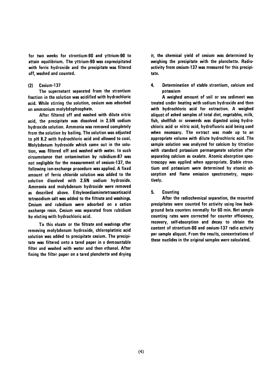for two weeks for strontium-90 and yttrium-90 to attain equilibrium. The yttrium-90 was coprecipitated with ferric hydroxide and the precipitate was filtered off. washed and counted.

#### $(2)$ Cesium-137

The supernatant separated from the strontium fraction in the solution was acidified with hydrochloric acid. While stirring the solution, cesium was adsorbed on ammonium molybdophosphate.

After filtered off and washed with dilute nitric acid, the precipitate was dissolved in 2.5N sodium hydroxide solution. Ammonia was removed completely from the solution by boiling. The solution was adjusted to pH 8.2 with hydrochloric acid and allowed to cool. Molybdenum hydroxide which came out in the solution, was filtered off and washed with water. In such circumstance that ontamination by rubidium-87 was not negligible for the measurement of cesium-137, the following ion-exchange procedure was applied. A fixed amount of ferric chloride solution was added to the solution dissolved with 2.5N sodium hydroxide. Ammonia and molybdenum hydroxide were removed as described above. Ethylenediaminetetraaceticacid tetrasodium salt was added to the filtrate and washings. Cesium and rubidium were adsorbed on a cation exchange resin. Cesium was separated from rubidium by eluting with hydrochloric acid.

To this eluate or the filtrate and washings after removing molybdenum hydroxide, chloroplatinic acid solution was added to precipitate cesium. The precipitate was filtered onto a tared paper in a demountable filter and washed with water and then ethanol, After fixing the filter paper on a tared planchette and drying it, the chemical yield of cesium was determined by weighing the precipitate with the planchette. Radioactivity from cesium-137 was measured for this precipitate.

#### 4. Determination of stable strontium, calcium and potassium

A weighed amount of soil or sea sediment was treated under heating with sodium hydroxide and then with hydrochloric acid for extraction. A weighed aliquot of ashed samples of total diet, vegetables, milk, fish, shellfish or seeweeds was digested using hydrochloric acid or nitric acid, hydrofluoric acid being used when necessary. The extract was made up to an appropriate volume with dilute hydrochloric acid. The sample solution was analyzed for calcium by titration with standard potassium permanganate solution after separating calcium as oxalate. Atomic absorption spectroscopy was applied when appropriate. Stable strontium and potassium were determined by atomic absorption and flame emission spectrometry, respectively.

#### 5. **Counting**

After the radiochemical separation, the mounted precipitates were counted for activity using low background beta counters normally for 60 min. Net sample counting rates were corrected for counter efficiency, recovery, self-absorption and decay to obtain the content of strontium-90 and cesium-137 radio activity per sample aliquot. From the results, concentrations of these nuclides in the original samples were calculated.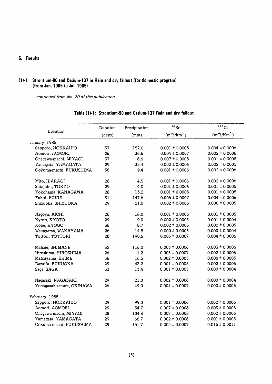## 6. Results

 $\overline{\phantom{a}}$ 

## (1)-1 Strontium-90 and Cesium-137 in Rain and dry fallout (for domestic program) (from Jan. 1985 to Jul. 1985)

- continued from No. 70 of this publication -

|                          | Duration | Precipitation | $90$ Sr                | 137Cs                  |
|--------------------------|----------|---------------|------------------------|------------------------|
| Location                 | (days)   | (mm)          | (mCi/km <sup>2</sup> ) | (mCi/Km <sup>2</sup> ) |
| January, 1985            |          |               |                        |                        |
| Sapporo, HOKKAIDO        | 37       | 157.0         | $0.001 \pm 0.0005$     | $0.004 \pm 0.0006$     |
| Aomori, AOMORI           | 26       | 36.6          | $0.004 \pm 0.0007$     | $0.002 \pm 0.0006$     |
| Onagawa-machi, MIYAGI    | 37       | 6.6           | $0.007 \pm 0.0008$     | $0.001 \pm 0.0005$     |
| Yamagata, YAMAGATA       | 29       | 35.4          | $0.002 \pm 0.0006$     | $0.002 \pm 0.0005$     |
| Ookuma-machi, FUKUSHIMA  | 36       | 9.4           | $0.001 \pm 0.0006$     | $0.002 \pm 0.0006$     |
| Mito, IBARAGI            | 28       | 4.5           | $0.001 \pm 0.0006$     | $0.002 \pm 0.0006$     |
| Shinjuku, TOKYO          | 29       | 4.0           | $0.001 \pm 0.0006$     | $0.001 \pm 0.0005$     |
| Yokohama, KANAGAWA       | 28       | 13.2          | $0.001 \pm 0.0005$     | $0.001 \pm 0.0005$     |
| Fukui, FUKUI             | 31       | 147.6         | $0.005 \pm 0.0007$     | $0.004 \pm 0.0006$     |
| Shizuoka, SHIZUOKA       | 29       | 21.0          | $0.002 \pm 0.0006$     | $0.000 \pm 0.0005$     |
| Nagoya, AICHI            | 26       | 18.0          | $0.001 \pm 0.0006$     | $0.001 \pm 0.0005$     |
| Kyoto, KYOTO             | 29       | 9.0           | $0.002 \pm 0.0005$     | $0.001 \pm 0.0004$     |
| Kobe, HYOGO              | 36       | 8.7           | $0.002 \pm 0.0006$     | $0.002 \pm 0.0005$     |
| Wakayama, WAKAYAMA       | 26       | 14.8          | $0.000 \pm 0.0005$     | $0.000 \pm 0.0004$     |
| Tottori, TOTTORI         | 28       | 190.6         | $0.005 \pm 0.0007$     | $0.004 \pm 0.0006$     |
| Matsue, SHIMANE          | 32       | 116.0         | $0.003 \pm 0.0006$     | $0.003 \pm 0.0006$     |
| Hiroshima, HIROSHIMA     | 26       | 1.2           | $0.005 \pm 0.0007$     | $0.002 \pm 0.0006$     |
| Matsuyama, EHIME         | 36       | 16.5          | $0.002 \pm 0.0005$     | $0.000 \pm 0.0005$     |
| Dazaifu, FUKUOKA         | 29       | 43.2          | $0.001 \pm 0.0005$     | $0.002 \pm 0.0005$     |
| Saga, SAGA               | 33       | 13.4          | $0.001 \pm 0.0005$     | $0.000 \pm 0.0004$     |
| Nagasaki, NAGASAKI       | 29       | 21.0          | $0.002 \pm 0.0006$     | $0.000 \pm 0.0004$     |
| Yonagusuku-mura, OKINAWA | 26       | 49.0          | $0.001 \pm 0.0007$     | $0.000 \pm 0.0005$     |
| February, 1985           |          |               |                        |                        |
| Sapporo, HOKKAIDO        | 29       | 99.0          | $0.001 \pm 0.0006$     | $0.002 \pm 0.0006$     |
| Aomori, AOMORI           | 29       | 54.7          | $0.007 \pm 0.0008$     | $0.003 \pm 0.0006$     |
| Onagawa-machi, MIYAGI    | 28       | 104.8         | $0.007 \pm 0.0008$     | $0.002 \pm 0.0006$     |
| Yamagata, YAMAGATA       | 29       | 66.7          | $0.002 \pm 0.0006$     | $0.001 \pm 0.0005$     |
| Ookuma-machi, FUKUSHIMA  | 29       | 151.7         | $0.005 \pm 0.0007$     | $0.015 \pm 0.0011$     |

## Table (1)-1: Strontium-90 and Cesium-137 Rain and dry fallout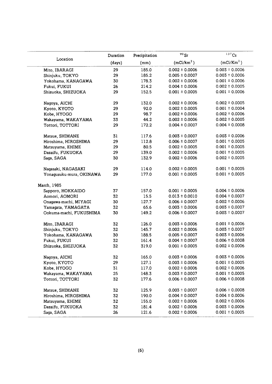|                          | Duration | Precipitation | $90$ Sr                | $137$ Cs               |
|--------------------------|----------|---------------|------------------------|------------------------|
| Location                 | (days)   | (mm)          | (mCi/km <sup>2</sup> ) | (mCi/Km <sup>2</sup> ) |
| Mito, IBARAGI            | 29       | 185.0         | $0.002 \pm 0.0006$     | $0.003 \pm 0.0006$     |
| Shinjuku, TOKYO          | 29       | 185.2         | $0.005 \pm 0.0007$     | $0.003 \pm 0.0006$     |
| Yokohama, KANAGAWA       | 30       | 178.3         | $0.002 \pm 0.0006$     | $0.001 \pm 0.0006$     |
| Fukui, FUKUI             | 26       | 214.2         | $0.004 \pm 0.0006$     | $0.002 \pm 0.0005$     |
| Shizuoka, SHIZUOKA       | 29       | 152.5         | $0.001 \pm 0.0005$     | $0.001 \pm 0.0006$     |
| Nagoya, AICHI            | 29       | 132.0         | $0.002 \pm 0.0006$     | $0.002 \pm 0.0005$     |
| Kyoto, KYOTO             | 29       | 92.0          | $0.002 \pm 0.0005$     | $0.001 \pm 0.0004$     |
| Kobe, HYOGO              | 29       | 98.7          | $0.002 \pm 0.0006$     | $0.002 \pm 0.0006$     |
| Wakayama, WAKAYAMA       | 33       | 44.2          | $0.002 \pm 0.0006$     | $0.002 \pm 0.0005$     |
| Tottori, TOTTORI         | 29       | 172.2         | $0.004 \pm 0.0007$     | $0.004 \pm 0.0008$     |
| Matsue, SHIMANE          | 31       | 117.6         | $0.003 \pm 0.0007$     | $0.003 \pm 0.0006$     |
| Hiroshima, HIROSHIMA     | 29       | 112.8         | $0.006 \pm 0.0007$     | $0.001 \pm 0.0005$     |
| Matsuyama, EHIME         | 29       | 80.5          | $0.002 \pm 0.0005$     | $0.001 \pm 0.0005$     |
| Dazaifu, FUKUOKA         | 29       | 139.0         | $0.002 \pm 0.0006$     | $0.001 \pm 0.0005$     |
| Saga, SAGA               | 30       | 132.9         | $0.002 \pm 0.0006$     | $0.002 \pm 0.0005$     |
| Nagasaki, NAGASAKI       | 29       | 114.0         | $0.002 \pm 0.0005$     | $0.001 \pm 0.0005$     |
| Yonagusuku-mura, OKINAWA | 29       | 177.0         | $0.001 \pm 0.0005$     | $0.001 \pm 0.0005$     |
| March, 1985              |          |               |                        |                        |
| Sapporo, HOKKAIDO        | 37       | 157.0         | $0.001 \pm 0.0005$     | $0.004 \pm 0.0006$     |
| Aomori, AOMORI           | 32       | 15.5          | $0.013 \pm 0.0010$     | $0.004 \pm 0.0007$     |
| Onagawa-machi, MIYAGI    | 30       | 127.7         | $0.006 \pm 0.0007$     | $0.002 \pm 0.0006$     |
| Yamagata, YAMAGATA       | 32       | 65.6          | $0.003 \pm 0.0006$     | $0.003 \pm 0.0007$     |
| Ookuma-machi, FUKUSHIMA  | 30       | 149.2         | $0.006 \pm 0.0007$     | $0.003 \pm 0.0007$     |
| Mito, IBARAGI            | 32       | 126.0         | $0.003 \pm 0.0006$     | $0.001 \pm 0.0006$     |
| Shinjuku, TOKYO          | 32       | 145.7         | $0.002 \pm 0.0006$     | $0.003 \pm 0.0007$     |
| Yokohama, KANAGAWA       | 30       | 188.5         | $0.005 \pm 0.0007$     | $0.003 \pm 0.0006$     |
| Fukui, FUKUI             | 32       | 161.4         | $0.004 \pm 0.0007$     | $0.006 \pm 0.0008$     |
| Shizuoka, SHIZUOKA       | 32       | 319.0         | $0.001 \pm 0.0005$     | $0.002 \pm 0.0006$     |
| Nagoya, AICHI            | 32       | 165.0         | $0.003 \pm 0.0006$     | $0.003 \pm 0.0006$     |
| Kyoto, KYOTO             | 29       | 127.1         | $0.003 \pm 0.0006$     | $0.001 \pm 0.0005$     |
| Kobe, HYOGO              | 31       | 117.0         | $0.002 \pm 0.0006$     | $0.002 \pm 0.0006$     |
| Wakayama, WAKAYAMA       | 25       | 148.3         | $0.003 \pm 0.0007$     | $0.001 \pm 0.0005$     |
| Tottori, TOTTORI         | 32       | 177.6         | $0.006 \pm 0.0007$     | $0.006 \pm 0.0008$     |
| Matsue, SHIMANE          | 32       | 125.9         | $0.003 \pm 0.0007$     | $0.006 \pm 0.0008$     |
| Hiroshima, HIROSHIMA     | 32       | 190.0         | $0.004 \pm 0.0007$     | $0.004 \pm 0.0006$     |
| Matsuyama, EHIME         | 32       | 155.0         | $0.002 \pm 0.0006$     | $0.002 \pm 0.0006$     |
| Dazaifu, FUKUOKA         | 32       | 181.4         | $0.002 \pm 0.0006$     | $0.003 \pm 0.0006$     |
| Saga, SAGA               | 26       | 121.6         | $0.002 \pm 0.0006$     | $0.001 \pm 0.0005$     |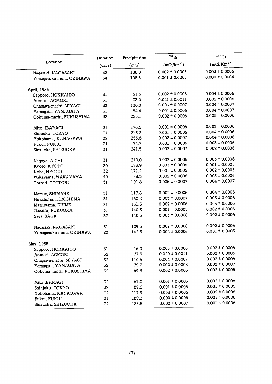|                                                | Duration | Precipitation | 90Sr                   | $137$ Cs           |  |
|------------------------------------------------|----------|---------------|------------------------|--------------------|--|
| Location                                       | (days)   | (mm)          | (mCi/km <sup>2</sup> ) | $(mCi/Km^2)$       |  |
| Nagasaki, NAGASAKI                             | 32       | 186.0         | $0.002 \pm 0.0005$     | $0.003 \pm 0.0006$ |  |
| Yonaqusuku-mura, OKINAWA                       | 34       | 108.5         | $0.001 \pm 0.0005$     | $0.000 \pm 0.0004$ |  |
| April, 1985                                    |          |               |                        |                    |  |
| Sapporo, HOKKAIDO                              | 31       | 51.5          | $0.002 \pm 0.0006$     | $0.004 \pm 0.0006$ |  |
| Aomori, AOMORI                                 | 31       | 33.0          | $0.021 \pm 0.0011$     | $0.002 \pm 0.0006$ |  |
| Onagawa-machi, MIYAGI                          | 33       | 138.8         | $0.006 \pm 0.0007$     | $0.004 \pm 0.0007$ |  |
| Yamagata, YAMAGATA                             | 31       | 54.4          | $0.001 \pm 0.0006$     | $0.004 \pm 0.0007$ |  |
| Ookuma-machi, FUKUSHIMA                        | 33       | 225.1         | $0.002 \pm 0.0006$     | $0.005 \pm 0.0006$ |  |
| Mito, IBARAGI                                  | 31       | 176.5         | $0.001 \pm 0.0006$     | $0.003 \pm 0.0006$ |  |
| Shinjuku, TOKYO                                | 31       | 213.2         | $0.001 \pm 0.0006$     | $0.004 \pm 0.0006$ |  |
| Yokohama, KANAGAWA                             | 32       | 253.8         | $0.002 \pm 0.0007$     | $0.004 \pm 0.0006$ |  |
| Fukui, FUKUI                                   | 31       | 174.7         | $0.001 \pm 0.0006$     | $0.003 \pm 0.0006$ |  |
| Shizuoka, SHIZUOKA                             | 31       | 241.5         | $0.002 \pm 0.0007$     | $0.002 \pm 0.0006$ |  |
| Nagoya, AICHI                                  | 31       | 210.0         | $0.002 \pm 0.0006$     | $0.003 \pm 0.0006$ |  |
| Kyoto, KYOTO                                   | 30       | 133.9         | $0.003 \pm 0.0006$     | $0.001 \pm 0.0005$ |  |
| Kobe, HYOGO                                    | 32       | 171.2         | $0.001 \pm 0.0005$     | $0.002 \pm 0.0005$ |  |
| Wakayama, WAKAYAMA                             | 40       | 88.3          | $0.002 \pm 0.0006$     | $0.003 \pm 0.0006$ |  |
| Tottori, TOTTORI                               | 31       | 191.8         | $0.005 \pm 0.0007$     | $0.004 \pm 0.0007$ |  |
| Matsue, SHIMANE                                | 31       | 117.6         | $0.002 \pm 0.0006$     | $0.004 \pm 0.0006$ |  |
| Hiroshima, HIROSHIMA                           | 31       | 160.2         | $0.003 \pm 0.0007$     | $0.003 \pm 0.0006$ |  |
| Matsuyama, EHIME                               | 31       | 131.5         | $0.002 \pm 0.0006$     | $0.003 \pm 0.0006$ |  |
| Dazaifu, FUKUOKA                               | 31       | 140.3         | $0.001 \pm 0.0005$     | $0.002 \pm 0.0006$ |  |
| Saga, SAGA                                     | 37       | 140.5         | $0.003 \pm 0.0006$     | $0.002 \pm 0.0006$ |  |
|                                                | 31       | 129.5         | $0.002 \pm 0.0006$     | $0.002 \pm 0.0005$ |  |
| Nagasaki, NAGASAKI<br>Yonagusuku-mura, OKINAWA | 28       | 142.5         | $0.002 \pm 0.0006$     | $0.001 \pm 0.0005$ |  |
| May, 1985                                      |          |               |                        |                    |  |
| Sapporo, HOKKAIDO                              | 31       | 16.0          | $0.003 \pm 0.0006$     | $0.002 \pm 0.0006$ |  |
| Aomori, AOMORI                                 | 32       | 77.5          | $0.020 \pm 0.0011$     | $0.002 \pm 0.0006$ |  |
| Onagawa-machi, MIYAGI                          | 32       | 110.5         | $0.004 \pm 0.0007$     | $0.002 \pm 0.0006$ |  |
| Yamagata, YAMAGATA                             | 32       | 79.2          | $0.002 \pm 0.0008$     | $0.002 \pm 0.0007$ |  |
| Ookuma-machi, FUKUSHIMA                        | 32       | 69.3          | $0.002 \pm 0.0006$     | $0.002 \pm 0.0005$ |  |
|                                                |          |               |                        |                    |  |
| Mito IBARAGI                                   | 32       | 67.0          | $0.001 \pm 0.0005$     | $0.002 \pm 0.0006$ |  |
| Shinjuku, TOKYO                                | 32       | 89.6          | $0.001 \pm 0.0005$     | $0.001 \pm 0.0005$ |  |
| Yokohama, KANAGAWA                             | 32       | 117.9         | $0.003 \pm 0.0006$     | $0.002 \pm 0.0006$ |  |
| Fukui, FUKUI                                   | 31       | 189.3         | $0.000 \pm 0.0005$     | $0.001 \pm 0.0006$ |  |
| Shizuoka, SHIZUOKA                             | 32       | 185.5         | $0.002 \pm 0.0007$     | $0.001 \pm 0.0006$ |  |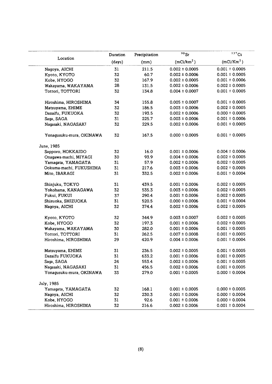|                          | Duration | Precipitation | $90$ Sr                | $\overline{137}$ Cs    |
|--------------------------|----------|---------------|------------------------|------------------------|
| Location                 | (days)   | (mm)          | (mCi/km <sup>2</sup> ) | (mCi/Km <sup>2</sup> ) |
| Nagoya, AICHI            | 31       | 211.5         | $0.002 \pm 0.0005$     | $0.001 \pm 0.0005$     |
| Kyoto, KYOTO             | 32       | 60.7          | $0.002 \pm 0.0006$     | $0.001 \pm 0.0005$     |
| Kobe, HYOGO              | 32       | 167.9         | $0.002 \pm 0.0005$     | $0.001 \pm 0.0006$     |
| Wakayama, WAKAYAMA       | 28       | 131.5         | $0.002 \pm 0.0006$     | $0.002 \pm 0.0005$     |
| Tottori, TOTTORI         | 32       | 134.8         | $0.004 \pm 0.0007$     | $0.001 \pm 0.0005$     |
| Hiroshima, HIROSHIMA     | 34       | 155.8         | $0.005 \pm 0.0007$     | $0.001 \pm 0.0005$     |
| Matsuyama, EHIME         | 32       | 186.5         | $0.003 \pm 0.0006$     | $0.002 \pm 0.0005$     |
| Dazaifu, FUKUOKA         | 32       | 193.5         | $0.002 \pm 0.0006$     | $0.000 \pm 0.0005$     |
| Saga, SAGA               | 31       | 225.7         | $0.003 \pm 0.0006$     | $0.001 \pm 0.0006$     |
| Nagasaki, NAGASAKI       | 32       | 229.5         | $0.002 \pm 0.0006$     | $0.001 \pm 0.0005$     |
| Yonagusuku-mura, OKINAWA | 32       | 167.5         | $0.000 \pm 0.0005$     | $0.001 \pm 0.0005$     |
| June, 1985               |          |               |                        |                        |
| Sapporo, HOKKAIDO        | 32       | 16.0          | $0.001 \pm 0.0006$     | $0.004 \pm 0.0006$     |
| Onagawa-machi, MIYAGI    | 30       | 93.9          | $0.004 \pm 0.0006$     | $0.002 \pm 0.0005$     |
| Yamagata, YAMAGATA       | 31       | 57.9          | $0.002 \pm 0.0006$     | $0.002 \pm 0.0005$     |
| Ookuma-machi, FUKUSHIMA  | 31       | 217.6         | $0.003 \pm 0.0006$     | $0.002 \pm 0.0005$     |
| Mito, IBARAGI            | 31       | 332.5         | $0.002 \pm 0.0006$     | $0.001 \pm 0.0004$     |
| Shinjuku, TOKYO          | 31       | 439.5         | $0.001 \pm 0.0006$     | $0.002 \pm 0.0005$     |
| Yokohama, KANAGAWA       | 32       | 535.3         | $0.003 \pm 0.0006$     | $0.002 \pm 0.0005$     |
| Fukui, FUKUI             | 37       | 290.4         | $0.001 \pm 0.0006$     | $0.002 \pm 0.0005$     |
| Shizuoka, SHIZUOKA       | 31       | 520.5         | $0.000 \pm 0.0006$     | $0.001 \pm 0.0004$     |
| Nagoya, AICHI            | 32       | 374.4         | $0.002 \pm 0.0006$     | $0.002 \pm 0.0005$     |
| Kyoto, KYOTO             | 32       | 344.9         | $0.003 \pm 0.0007$     | $0.002 \pm 0.0005$     |
| Kobe, HYOGO              | 32       | 197.3         | $0.001 \pm 0.0006$     | $0.002 \pm 0.0005$     |
| Wakayama, WAKAYAMA       | 30       | 282.0         | $0.001 \pm 0.0006$     | $0.001 \pm 0.0005$     |
| Tottori, TOTTORI         | 31       | 262.5         | $0.007 \pm 0.0008$     | $0.001 \pm 0.0005$     |
| Hiroshima, HIROSHIMA     | 29       | 420.9         | $0.004 \pm 0.0006$     | $0.001 \pm 0.0004$     |
| Matsuyama, EHIME         | 31       | 236.5         | $0.002 \pm 0.0005$     | $0.001 \pm 0.0005$     |
| Dazaifu FUKUOKA          | 31       | 633.2         | $0.001 \pm 0.0006$     | $0.001 \pm 0.0005$     |
| Saga, SAGA               | 24       | 553.4         | $0.002 \pm 0.0006$     | $0.001 \pm 0.0005$     |
| Nagasaki, NAGASAKI       | 31       | 456.5         | $0.002 \pm 0.0006$     | $0.001 \pm 0.0005$     |
| Yonagusuku-mura, OKINAWA | 33       | 279.0         | $0.001 \pm 0.0005$     | $0.000 \pm 0.0004$     |
| July, 1985               |          |               |                        |                        |
| Yamagata, YAMAGATA       | 32       | 168.1         | $0.001 \pm 0.0005$     | $0.000 \pm 0.0005$     |
| Nagoya, AICHI            | 32       | 230.3         | $0.001 \pm 0.0006$     | $0.000 \pm 0.0004$     |
| Kobe, HYOGO              | 31       | 92.6          | $0.001 \pm 0.0006$     | $0.000 \pm 0.0004$     |
| Hiroshima, HIROSHIMA     | 32       | 216.6         | $0.002 \pm 0.0006$     | $0.001 \pm 0.0004$     |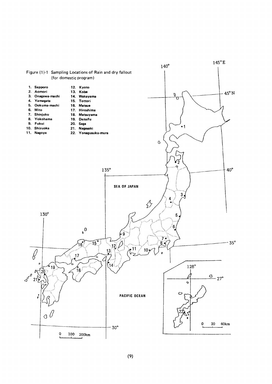

 $(9)$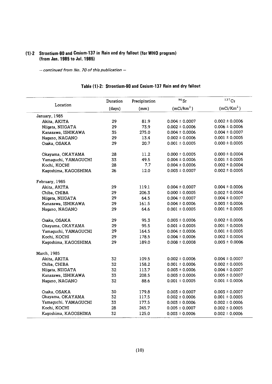## (1)-2 Strontium-90 and Cesium-137 in Rain and dry fallout (for WHO program) (from Jan. 1985 to Jul. 1985)

- continued from No. 70 of this publication -

|                      | Duration | Precipitation | $90$ Sr                | $137$ Cs               |
|----------------------|----------|---------------|------------------------|------------------------|
| Location             | (days)   | (mm)          | (mCi/km <sup>2</sup> ) | (mCi/Km <sup>2</sup> ) |
| January, 1985        |          |               |                        |                        |
| Akita, AKITA         | 29       | 81.9          | $0.004 \pm 0.0007$     | $0.002 \pm 0.0006$     |
| Niigata, NIIGATA     | 29       | 73.9          | $0.002 \pm 0.0006$     | $0.006 \pm 0.0006$     |
| Kanazawa, ISHIKAWA   | 35       | 275.0         | $0.004 \pm 0.0006$     | $0.004 \pm 0.0007$     |
| Nagano, NAGANO       | 29       | 13.4          | $0.002 \pm 0.0006$     | $0.001 \pm 0.0005$     |
| Osaka, OSAKA         | 29       | 20.7          | $0.001 \pm 0.0005$     | $0.000 \pm 0.0005$     |
| Okayama, OKAYAMA     | 28       | 11.2          | $0.000 \pm 0.0005$     | $0.000 \pm 0.0004$     |
| Yamaguchi, YAMAGUCHI | 33       | 49.5          | $0.004 \pm 0.0006$     | $0.001 \pm 0.0005$     |
| Kochi, KOCHI         | 28       | 7.7           | $0.004 \pm 0.0006$     | $0.002 \pm 0.0004$     |
| Kagoshima, KAGOSHIMA | 26       | 12.0          | $0.003 \pm 0.0007$     | $0.002 \pm 0.0005$     |
| February, 1985       |          |               |                        |                        |
| Akita, AKITA         | 29       | 119.1         | $0.004 \pm 0.0007$     | $0.004 \pm 0.0006$     |
| Chiba, CHIBA         | 29       | 206.3         | $0.000 \pm 0.0005$     | $0.002 \pm 0.0004$     |
| Niigata, NIIGATA     | 29       | 64.5          | $0.004 \pm 0.0007$     | $0.004 \pm 0.0007$     |
| Kanazawa, ISHIKAWA   | 29       | 161.5         | $0.004 \pm 0.0006$     | $0.003 \pm 0.0006$     |
| Nagano, NAGANO       | 29       | 64.6          | $0.001 \pm 0.0005$     | $0.001 \pm 0.0005$     |
| Osaka, OSAKA         | 29       | 95.3          | $0.003 \pm 0.0006$     | $0.002 \pm 0.0006$     |
| Okayama, OKAYAMA     | 29       | 95.5          | $0.001 \pm 0.0005$     | $0.001 \pm 0.0005$     |
| Yamaguchi, YAMAGUCHI | 29       | 164.5         | $0.004 \pm 0.0006$     | $0.001 \pm 0.0005$     |
| Kochi, KOCHI         | 29       | 178.5         | $0.004 \pm 0.0006$     | $0.002 \pm 0.0004$     |
| Kagoshima, KAGOSHIMA | 29       | 189.0         | $0.008 \pm 0.0008$     | $0.003 \pm 0.0006$     |
| March, 1985          |          |               |                        |                        |
| Akita, AKITA         | 32       | 109.5         | $0.002 \pm 0.0006$     | $0.004 \pm 0.0007$     |
| Chiba, CHIBA         | 32       | 158.2         | $0.001 \pm 0.0006$     | $0.002 \pm 0.0005$     |
| Niigata, NIIGATA     | 32       | 113.7         | $0.003 \pm 0.0006$     | $0.004 \pm 0.0007$     |
| Kanazawa, ISHIKAWA   | 33       | 208.5         | $0.003 \pm 0.0006$     | $0.005 \pm 0.0007$     |
| Nagano, NAGANO       | 32       | 88.6          | $0.001 \pm 0.0005$     | $0.001 \pm 0.0006$     |
| Osaka, OSAKA         | 30       | 179.8         | $0.003 \pm 0.0007$     | $0.003 \pm 0.0007$     |
| Okayama, OKAYAMA     | 32       | 117.5         | $0.002 \pm 0.0006$     | $0.001 \pm 0.0005$     |
| Yamaguchi, YAMAGUCHI | 33       | 177.5         | $0.003 \pm 0.0006$     | $0.002 \pm 0.0006$     |
| Kochi, KOCHI         | 28       | 245.7         | $0.005 \pm 0.0007$     | $0.002 \pm 0.0005$     |
| Kagoshima, KAGOSHIMA | 32       | 125.0         | $0.003 \pm 0.0006$     | $0.002 \pm 0.0006$     |

## Table (1)-2: Strontium-90 and Cesium-137 Rain and dry fallout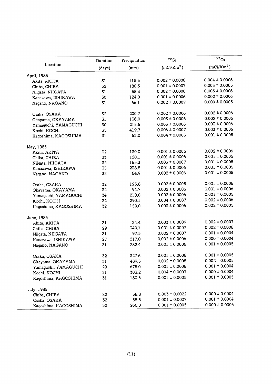|                      | Duration | Precipitation | $90$ Sr                | $137$ Cs               |
|----------------------|----------|---------------|------------------------|------------------------|
| Location             | (days)   | (mm)          | (mCi/Km <sup>2</sup> ) | (mCi/Km <sup>2</sup> ) |
| April, 1985          |          |               |                        |                        |
| Akita, AKITA         | 31       | 115.5         | $0.002 \pm 0.0006$     | $0.004 \pm 0.0006$     |
| Chiba, CHIBA         | 32       | 180.3         | $0.001 \pm 0.0007$     | $0.003 \pm 0.0005$     |
| Niigata, NIIGATA     | 31       | 58.3          | $0.002 \pm 0.0006$     | $0.003 \pm 0.0006$     |
| Kanazawa, ISHIKAWA   | 30       | 124.0         | $0.001 \pm 0.0006$     | $0.002 \pm 0.0006$     |
| Nagano, NAGANO       | 31       | 66.1          | $0.002 \pm 0.0007$     | $0.000 \pm 0.0005$     |
| Osaka, OSAKA         | 32       | 200.7         | $0.002 \pm 0.0006$     | $0.002 \pm 0.0006$     |
| Okayama, OKAYAMA     | 31       | 136.0         | $0.003 \pm 0.0006$     | $0.002 \pm 0.0005$     |
| Yamaguchi, YAMAGUCHI | 30       | 215.5         | $0.003 \pm 0.0006$     | $0.003 \pm 0.0006$     |
| Kochi, KOCHI         | 35       | 419.7         | $0.006 \pm 0.0007$     | $0.003 \pm 0.0006$     |
| Kagoshima, KAGOSHIMA | 31       | 63.0          | $0.004 \pm 0.0006$     | $0.001 \pm 0.0005$     |
| May, 1985            |          |               |                        |                        |
| Akita, AKITA         | 32       | 130.0         | $0.001 \pm 0.0005$     | $0.002 \pm 0.0006$     |
| Chiba, CHIBA         | 33       | 120.1         | $0.001 \pm 0.0006$     | $0.001 \pm 0.0005$     |
| Niigata, NIIGATA     | 32       | 165.3         | $0.003 \pm 0.0007$     | $0.001 \pm 0.0005$     |
| Kanazawa, ISHIKAWA   | 35       | 238.5         | $0.001 \pm 0.0006$     | $0.001 \pm 0.0005$     |
| Nagano, NAGANO       | 32       | 64.9          | $0.002 \pm 0.0006$     | $0.001 \pm 0.0005$     |
| Osaka, OSAKA         | 32       | 125.8         | $0.002 \pm 0.0005$     | $0.001 \pm 0.0006$     |
| Okayama, OKAYAMA     | 32       | 94.7          | $0.002 \pm 0.0006$     | $0.001 \pm 0.0006$     |
| Yamaguchi, YAMAGUCHI | 34       | 219.0         | $0.002 \pm 0.0006$     | $0.001 \pm 0.0005$     |
| Kochi, KOCHI         | 32       | 290.1         | $0.004 \pm 0.0007$     | $0.002 \pm 0.0006$     |
| Kagoshima, KAGOSHIMA | 32       | 159.0         | $0.003 \pm 0.0006$     | $0.002 \pm 0.0005$     |
| June, 1985           |          |               |                        |                        |
| Akita, AKITA         | 31       | 34.4          | $0.003 \pm 0.0009$     | $0.002 \pm 0.0007$     |
| Chiba, CHIBA         | 29       | 349.1         | $0.001 \pm 0.0007$     | $0.002 \pm 0.0006$     |
| Niigata, NIIGATA     | 31       | 97.5          | $0.002 \pm 0.0007$     | $0.001 \pm 0.0004$     |
| Kanazawa, ISHIKAWA   | 27       | 217.0         | $0.002 \pm 0.0006$     | $0.000 \pm 0.0004$     |
| Nagano, NAGANO       | 31       | 282.4         | $0.001 \pm 0.0006$     | $0.001 \pm 0.0005$     |
| Osaka, OSAKA         | 32       | 327.6         | $0.001 \pm 0.0006$     | $0.001 \pm 0.0005$     |
| Okayama, OKAYAMA     | 31       | 489.5         | $0.002 \pm 0.0005$     | $0.002 \pm 0.0005$     |
| Yamaguchi, YAMAGUCHI | 29       | 675.0         | $0.001 \pm 0.0006$     | $0.001 \pm 0.0004$     |
| Kochi, KOCHI         | 31       | 303.2         | $0.004 \pm 0.0007$     | $0.000 \pm 0.0004$     |
| Kagoshima, KAGOSHIMA | 31       | 180.5         | $0.001 \pm 0.0005$     | $0.001 \pm 0.0005$     |
| July, 1985           |          |               |                        |                        |
| Chiba, CHIBA         | 32       | 58.8          | $0.003 \pm 0.0022$     | $0.000 \pm 0.0004$     |
| Osaka, OSAKA         | 32       | 85.5          | $0.001 \pm 0.0007$     | $0.001 \pm 0.0004$     |
| Kagoshima, KAGOSHIMA | 32       | 260.0         | $0.001 \pm 0.0005$     | $0.000 \pm 0.0005$     |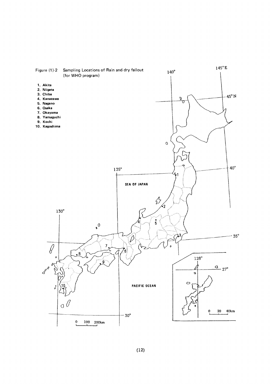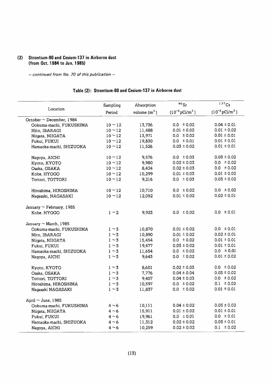## (2) Strontium-90 and Cesium-137 in Airborne dust (from Oct. 1984 to Jun. 1985)

- continued from No. 70 of this publication -

## Table (2): Strontium-90 and Cesium-137 in Airborne dust

|                               | Sampling   | Absorption     | $90$ Sr                        | 137Cs                      |
|-------------------------------|------------|----------------|--------------------------------|----------------------------|
| Location                      | Period     | volume $(m^3)$ | $(10^{-3} \,\mathrm{pCi/m^3})$ | $(10^{-3} \text{pCi/m}^3)$ |
| October $\sim$ December, 1984 |            |                |                                |                            |
| Ookuma-machi, FUKUSHIMA       | $10 - 12$  | 13,736         | $0.0 \pm 0.02$                 | $0.04 \pm 0.01$            |
| Mito, IBARAGI                 | $10 - 12$  | 11,488         | $0.01 \pm 0.02$                | $0.01 \pm 0.02$            |
| Niigata, NIIGATA              | $10 - 12$  | 13,971         | $0.0 \pm 0.02$                 | $0.01 \pm 0.01$            |
| Fukui, FUKUI                  | $10 - 12$  | 19,830         | $0.0 \pm 0.01$                 | $0.01 \pm 0.01$            |
| Hamaoka-machi, SHIZUOKA       | $10 - 12$  | 11,526         | $0.03 \pm 0.02$                | $0.01 \pm 0.01$            |
| Nagoya, AICHI                 | $10 - 12$  | 9,576          | $0.0 \pm 0.03$                 | $0.03 \pm 0.02$            |
| Kyoto, KYOTO                  | $10 - 12$  | 9,980          | $0.02 \pm 0.03$                | $0.0 \pm 0.02$             |
| Osaka, OSAKA                  | $10 - 12$  | 8,424          | $0.02 \pm 0.03$                | $0.0 \pm 0.02$             |
| Kobe, HYOGO                   | $10 - 12$  | 10,299         | $0.01 \pm 0.03$                | $0.01 \pm 0.02$            |
| Tottori, TOTTORI              | $10 - 12$  | 9,216          | $0.0 \pm 0.03$                 | $0.03 \pm 0.02$            |
| Hiroshima, HIROSHIMA          | $10 - 12$  | 10,710         | $0.0 \pm 0.02$                 | $0.0 \pm 0.02$             |
| Nagasaki, NAGASAKI            | $10 - 12$  | 12,052         | $0.01 \pm 0.02$                | $0.02 \pm 0.01$            |
| January $\sim$ February, 1985 |            |                |                                |                            |
| Kobe, HYOGO                   | $1 \sim 2$ | 9,923          | $0.0 \pm 0.02$                 | $0.0 \pm 0.01$             |
| January $\sim$ March, 1985    |            |                |                                |                            |
| Ookuma-machi, FUKUSHIMA       | $1 \sim 3$ | 10,870         | $0.01 \pm 0.02$                | $0.0 \pm 0.01$             |
| Mito, IBARAGI                 | $1 \sim 3$ | 10,890         | $0.01 \pm 0.02$                | $0.02 \pm 0.01$            |
| Niigata, NIIGATA              | $1 \sim 3$ | 15,454         | $0.0 \pm 0.02$                 | $0.01 \pm 0.01$            |
| Fukui, FUKUI                  | $1 \sim 3$ | 19,477         | $0.03 \pm 0.02$                | $0.01 \pm 0.01$            |
| Hamaoka-machi, SHIZUOKA       | $1 \sim 3$ | 11,654         | $0.0 \pm 0.02$                 | $0.0 \pm 0.01$             |
| Nagoya, AICHI                 | $1 \sim 3$ | 9,643          | $0.0 \pm 0.02$                 | $0.01 \pm 0.02$            |
| Kyoto, KYOTO                  | $1 \sim 3$ | 8,601          | $0.02 \pm 0.03$                | $0.0 \pm 0.02$             |
| Osaka, OSAKA                  | $1 \sim 3$ | 7,776          | $0.04 \pm 0.04$                | $0.03 \pm 0.02$            |
| Tottori, TOTTORI              | $1 \sim 3$ | 9,407          | $0.04 \pm 0.03$                | $0.0 \pm 0.02$             |
| Hiroshima, HIROSHIMA          | $1 \sim 3$ | 10,397         | $0.0 \pm 0.02$                 | $0.1 \pm 0.02$             |
| Nagasaki NAGASAKI             | $1 \sim 3$ | 11,837         | $0.0 \pm 0.02$                 | $0.01 \pm 0.01$            |
| April $\sim$ June, 1985       |            |                |                                |                            |
| Ookuma-machi, FUKUSHIMA       | $4 \sim 6$ | 10,111         | $0.04 \pm 0.02$                | $0.03 \pm 0.02$            |
| Niigata, NIIGATA              | $4~\sim 6$ | 15,911         | $0.01 \pm 0.02$                | $0.01 \pm 0.01$            |
| Fukui, FUKUI                  | $4 \sim 6$ | 19,961         | $0.0 \pm 0.01$                 | $0.0 \pm 0.01$             |
| Hamaoka-machi, SHIZUOKA       | $4 \sim 6$ | 11,312         | $0.02 \pm 0.02$                | $0.03 \pm 0.01$            |
| Nagoya, AICHI                 | 4 $\sim$ 6 | 10,259         | $0.02 \pm 0.02$                | $0.1 \pm 0.02$             |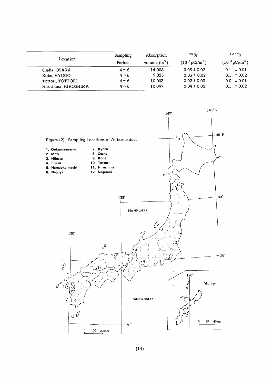| Location             | Sampling<br>Period | Absorption<br>volume $(m^3)$ | $^{90}$ Sr<br>$(10^{-3} \,\mathrm{pCi/m^3})$ | $137$ Cs<br>$(10^{-3} \,\mathrm{pCi/m^3})$ |
|----------------------|--------------------|------------------------------|----------------------------------------------|--------------------------------------------|
| Osaka, OSAKA         | $4~\sim 6$         | 14,008                       | $0.03 \pm 0.02$                              | $0.1 \pm 0.01$                             |
| Kobe, HYOGO          | $4^{\sim}6$        | 9.825                        | $0.03 \pm 0.02$                              | $0.1 \pm 0.02$                             |
| Tottori, TOTTORI     | $4~\sim~6$         | 10,003                       | $0.02 \pm 0.03$                              | $0.0 \pm 0.01$                             |
| Hiroshima, HIROSHIMA | $4 \sim 6$         | 10.097                       | $0.04 \pm 0.02$                              | $\pm 0.02$<br>0.1                          |

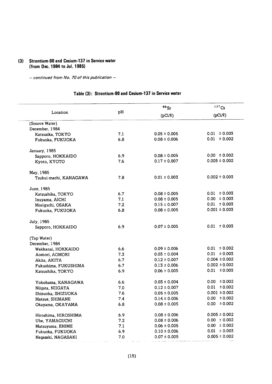## (3) Strontium-90 and Cesium-137 in Service water (from Dec. 1984 to Jul. 1985)

- continued from No. 70 of this publication -

## Table (3): Strontium-90 and Cesium-137 in Service water

|                        |     | $90$ Sr          | 137Cs                       |  |
|------------------------|-----|------------------|-----------------------------|--|
| Location               | pH  | $(pCi/\ell)$     | (pCi/R)                     |  |
| (Source Water)         |     |                  |                             |  |
| December, 1984         |     |                  |                             |  |
| Katsusika, TOKYO       | 7.1 | $0.05 \pm 0.005$ | $0.01 \pm 0.003$            |  |
| Fukuoka, FUKUOKA       | 6.8 | $0.08 \pm 0.006$ | $0.01 \pm 0.002$            |  |
| January, 1985          |     |                  |                             |  |
| Sapporo, HOKKAIDO      | 6.9 | $0.08 \pm 0.005$ | $0.00 \pm 0.002$            |  |
| Kyoto, KYOTO           | 7.6 | $0.17 \pm 0.007$ | $0.005 \pm 0.002$           |  |
| May, 1985              |     |                  |                             |  |
| Tsukui-machi, KANAGAWA | 7.8 | $0.01 \pm 0.003$ | $0.002 \pm 0.003$           |  |
| June, 1985             |     |                  |                             |  |
| Katsushika, TOKYO      | 6.7 | $0.08 \pm 0.005$ | $0.01 \pm 0.003$            |  |
| Inuyama, AICHI         | 7.1 | $0.08 \pm 0.005$ | $0.00 \pm 0.003$            |  |
| Moriguchi, OSAKA       | 7.2 | $0.15 \pm 0.007$ | $0.01 \pm 0.003$            |  |
| Fukuoka, FUKUOKA       | 6.8 | $0.08 \pm 0.005$ | $0.001 \pm 0.003$           |  |
| July, 1985             |     |                  |                             |  |
| Sapporo, HOKKAIDO      | 6.9 | $0.07 \pm 0.005$ | $0.01 \pm 0.003$            |  |
| (Tap Water)            |     |                  |                             |  |
| December, 1984         |     |                  |                             |  |
| Wakkanai, HOKKAIDO     | 6.6 | $0.09 \pm 0.006$ | $0.01 \pm 0.002$            |  |
| Aomori, AOMORI         | 7.3 | $0.03 \pm 0.004$ | $0.01 \pm 0.003$            |  |
| Akita, AKITA           | 6.7 | $0.12 \pm 0.007$ | $0.004 \pm 0.002$           |  |
| Fukushima, FUKUSHIMA   | 6.7 | $0.13 \pm 0.006$ | $0.002 \pm 0.002$           |  |
| Katsushika, TOKYO      | 6.9 | $0.06 \pm 0.005$ | $0.01 \pm 0.003$            |  |
| Yokohama, KANAGAWA     | 6.6 | $0.03 \pm 0.004$ | $0.00 \pm 0.002$            |  |
| Niigata, NIIGATA       | 7.0 | $0.12 \pm 0.007$ | ± 0.002<br>0.01             |  |
| Shizuoka, SHIZUOKA     | 7.6 | $0.05 \pm 0.005$ | $0.001 \pm 0.002$           |  |
| Matsue, SHIMANE        | 7.4 | $0.14 \pm 0.006$ | $0.00 \pm 0.002$            |  |
| Okayama, OKAYAMA       | 6.8 | $0.08 \pm 0.005$ | 0.00 <sub>1</sub><br>±0.002 |  |
| Hiroshima, HIROSHIMA   | 6.9 | $0.08 \pm 0.006$ | $0.005 \pm 0.002$           |  |
| Ube, YAMAGUCHI         | 7.2 | $0.08 \pm 0.006$ | $0.00 \pm 0.002$            |  |
| Matsuyama, EHIME       | 7.1 | $0.06 \pm 0.005$ | $0.00 \pm 0.002$            |  |
| Fukuoka, FUKUOKA       | 6.9 | $0.10 \pm 0.006$ | $0.01 \pm 0.003$            |  |
| Nagasaki, NAGASAKI     | 7.0 | $0.07 \pm 0.005$ | $0.005 \pm 0.002$           |  |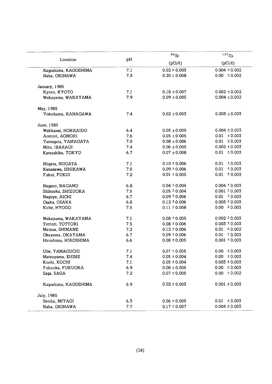| Location             | pH  | $^{90}\rm{Sr}$   | 137Cs             |
|----------------------|-----|------------------|-------------------|
|                      |     | $(pCi/\ell)$     | $(pCi/\ell)$      |
| Kagoshima, KAGOSHIMA | 7.1 | $0.02 \pm 0.003$ | $0.004 \pm 0.002$ |
| Naha, OKINAWA        | 7.3 | $0.20 \pm 0.008$ | $0.00 \pm 0.002$  |
| January, 1985        |     |                  |                   |
| Kyoto, KYOTO         | 7.1 | $0.18 \pm 0.007$ | $0.002 \pm 0.002$ |
| Wakayama, WAKAYAMA   | 7.9 | $0.09 \pm 0.005$ | $0.004 \pm 0.002$ |
| May, 1985            |     |                  |                   |
| Yokohama, KANAGAWA   | 7.4 | $0.02 \pm 0.003$ | $0.003 \pm 0.003$ |
| June, 1985           |     |                  |                   |
| Wakkanai, HOKKAIDO   | 6.4 | $0.05 \pm 0.005$ | $0.004 \pm 0.003$ |
| Aomori, AOMORI       | 7.6 | $0.05 \pm 0.005$ | $0.01 \pm 0.003$  |
| Yamagata, YAMAGATA   | 7.0 | $0.08 \pm 0.006$ | $0.01 \pm 0.003$  |
| Mito, IBARAGI        | 7.4 | $0.06 \pm 0.005$ | $0.005 \pm 0.003$ |
| Katsushika, TOKYO    | 6.7 | $0.07 \pm 0.008$ | $0.01 \pm 0.003$  |
| Niigata, NIIGATA     | 7.1 | $0.10 \pm 0.006$ | ± 0.003<br>0.01   |
| Kanazawa, ISHIKAWA   | 7.0 | $0.09 \pm 0.006$ | 0.01<br>± 0.003   |
| Fukui, FUKUI         | 7.2 | $0.01 \pm 0.003$ | 0.01<br>± 0.003   |
| Nagano, NAGANO       | 6.8 | $0.04 \pm 0.004$ | $0.004 \pm 0.003$ |
| Shizuoka, SHIZUOKA   | 7.5 | $0.05 \pm 0.004$ | $0.001 \pm 0.003$ |
| Nagoya, AICHI        | 6.7 | $0.09 \pm 0.006$ | $0.01 \pm 0.003$  |
| Osaka, OSAKA         | 6.8 | $0.12 \pm 0.006$ | $0.003 \pm 0.003$ |
| Kobe, HYOGO          | 7.5 | $0.11 \pm 0.008$ | $0.00 \pm 0.003$  |
| Wakayama, WAKAYAMA   | 7.1 | $0.08 \pm 0.005$ | $0.002 \pm 0.003$ |
| Tottori, TOTTORI     | 7.5 | $0.08 \pm 0.006$ | $0.003 \pm 0.003$ |
| Matsue, SHIMANE      | 7.2 | $0.12 \pm 0.006$ | $0.01 \pm 0.002$  |
| Okayama, OKAYAMA     | 6.7 | $0.09 \pm 0.006$ | $0.01 \pm 0.003$  |
| Hiroshima, HIROSHIMA | 6.6 | $0.08 \pm 0.005$ | $0.001 \pm 0.003$ |
| Ube, YAMAGUCHI       | 7.1 | $0.07 \pm 0.005$ | $0.00 \pm 0.003$  |
| Matsuyama, EHIME     | 7.4 | $0.05 \pm 0.004$ | $0.00 \pm 0.003$  |
| Kochi, KOCHI         | 7.1 | $0.05 \pm 0.004$ | $0.003 \pm 0.003$ |
| Fukuoka, FUKUOKA     | 6.9 | $0.08 \pm 0.005$ | $0.00 \pm 0.003$  |
| Saga, SAGA           | 7.2 | $0.07 \pm 0.005$ | $0.00 \pm 0.002$  |
| Kagoshima, KAGOSHIMA | 6.9 | $0.02 \pm 0.003$ | $0.001 \pm 0.003$ |
| July, 1985           |     |                  |                   |
| Sendai, MIYAGI       | 6.3 | $0.06 \pm 0.005$ | $0.01 \pm 0.003$  |
| Naha, OKINAWA        | 7.7 | $0.17 \pm 0.007$ | $0.004 \pm 0.003$ |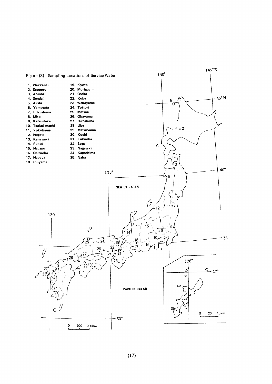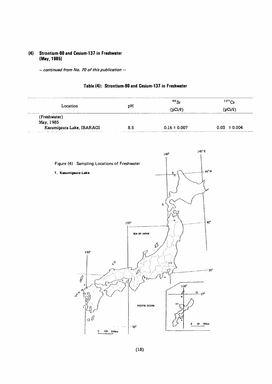#### Strontium-90 and Cesium-137 in Freshwater  $(4)$ (May, 1985)

 $-$  continued from No. 70 of this publication  $-$ 

|                           |     | 90Sr             | 137Cs            |
|---------------------------|-----|------------------|------------------|
| Location                  | рH  | (pCi/l)          | 'pCi/l)          |
| (Freshwater)              |     |                  |                  |
| May, 1985                 |     |                  |                  |
| Kasumigaura-Lake, IBARAGI | 8.5 | $0.16 \pm 0.007$ | $0.03 \pm 0.004$ |





 $(18)$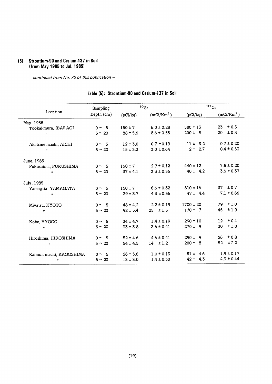#### (5) Strontium-90 and Cesium-137 in Soil (from May 1985 to Jul. 1985)

- continued from No. 70 of this publication -

#### $137$ Cs  $90Sr$ Sampling Location Depth (cm)  $(pCi/kg)$  (mCi/Km<sup>2</sup>) (pCi/kg)  $(mCi/Km<sup>2</sup>)$ May,1985  $23 \pm 0.5$  $0 \sim 5$  $150 \pm 7$  6.0  $\pm$  0.28  $580 \pm 13$ Tookai-mura, IBARAGI  $200 \pm 8$  $20 \pm 0.8$  $5 \sim 20$  $88 \pm 5.6$   $8.6 \pm 0.55$  $\boldsymbol{u}$  $12 \pm 3.0$  0.7  $\pm 0.19$  $11 \pm 3.2$  $0.7 \pm 0.20$  $0 \sim 5$ Akabane-machi, AICHI  $0.4 \pm 0.53$  $2 \pm 2.7$  $5\sim20$  $15 \pm 3.3$   $3.0 \pm 0.64$  $\boldsymbol{u}$ June,1985  $440 \pm 12$  $7.5 \pm 0.20$  $160 \pm 7$  2.7  $\pm$  0.12 Fukushima, FUKUSHIMA  $0 \sim 5$  $40 \pm 4.2$  $3.6 \pm 0.37$  $5 \sim 20$  $-37 \pm 4.1$   $3.3 \pm 0.36$  $\boldsymbol{u}$ July,1985  $37 \pm 0.7$  $150 \pm 7$  6.6  $\pm$  0.32  $810 \pm 16$ Yamagata, YAMAGATA  $0 \sim 5$  $7.1 \pm 0.66$  $5 \sim 20$  $29 \pm 3.7$  4.3  $\pm 0.55$  $47 \pm 4.4$  $\boldsymbol{\eta}$  $1700 \pm 20$  $79 \pm 1.0$  $0 \sim 5$  $48 \pm 4.2$  2.2  $\pm$  0.19 Miyatsu, KYOTO  $5\sim20$  $92 \pm 5.4$  25  $\pm 1.5$  $170 \pm 7$  $45 \pm 1.9$  $\boldsymbol{H}$  $12 \pm 0.4$ Kobe, HYOGO  $0 \sim 5$  $34 \pm 4.7$  1.4  $\pm$  0.19  $290 \pm 10$  $5 \sim 20$  $33 \pm 3.8$   $3.6 \pm 0.41$  $270 \pm 9$  $30 \pm 1.0$  $\boldsymbol{u}$  $290 \pm 9$  $26 \pm 0.8$ Hiroshima, HIROSHIMA  $0 \sim 5$  $52 \pm 4.6$   $4.6 \pm 0.41$ 54±4.5 14 ±1.2  $200 \pm 8$ 52  $\pm 2.2$  $\mathbf{u}$  $5 \sim 20$ Kaimon-machi, KAGOSHIMA  $0 \sim 5$  $26 \pm 3.6$  1.0  $\pm$  0.13  $51 \pm 4.6$  $1.9 \pm 0.17$  $13 \pm 3.0$   $1.4 \pm 0.30$  $42 \pm 4.3$  $4.3 \pm 0.44$  $\prime\prime$  5  $\sim$  20

## Table (5): Strontium-90 and Cesium-137 in Soil